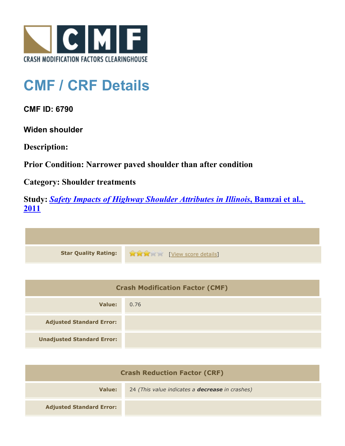

## **CMF / CRF Details**

**CMF ID: 6790**

**Widen shoulder**

**Description:** 

**Prior Condition: Narrower paved shoulder than after condition**

**Category: Shoulder treatments**

**Study:** *[Safety Impacts of Highway Shoulder Attributes in Illinois](http://www.cmfclearinghouse.org/study_detail.cfm?stid=404)***[, Bamzai et al.,](http://www.cmfclearinghouse.org/study_detail.cfm?stid=404) [2011](http://www.cmfclearinghouse.org/study_detail.cfm?stid=404)**



| <b>Crash Modification Factor (CMF)</b> |      |
|----------------------------------------|------|
| Value:                                 | 0.76 |
| <b>Adjusted Standard Error:</b>        |      |
| <b>Unadjusted Standard Error:</b>      |      |

| <b>Crash Reduction Factor (CRF)</b> |                                                        |
|-------------------------------------|--------------------------------------------------------|
| Value:                              | 24 (This value indicates a <b>decrease</b> in crashes) |
| <b>Adjusted Standard Error:</b>     |                                                        |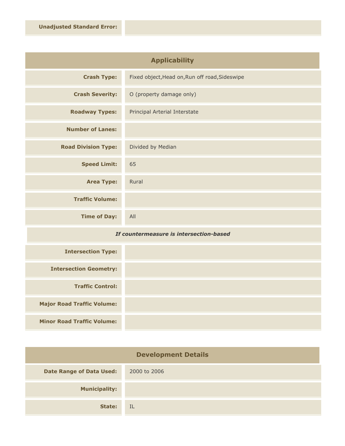| <b>Applicability</b>       |                                                |
|----------------------------|------------------------------------------------|
| <b>Crash Type:</b>         | Fixed object, Head on, Run off road, Sideswipe |
| <b>Crash Severity:</b>     | O (property damage only)                       |
| <b>Roadway Types:</b>      | Principal Arterial Interstate                  |
| <b>Number of Lanes:</b>    |                                                |
| <b>Road Division Type:</b> | Divided by Median                              |
| <b>Speed Limit:</b>        | 65                                             |
| <b>Area Type:</b>          | Rural                                          |
| <b>Traffic Volume:</b>     |                                                |
| <b>Time of Day:</b>        | All                                            |

## *If countermeasure is intersection-based*

| <b>Intersection Type:</b>         |  |
|-----------------------------------|--|
| <b>Intersection Geometry:</b>     |  |
| <b>Traffic Control:</b>           |  |
| <b>Major Road Traffic Volume:</b> |  |
| <b>Minor Road Traffic Volume:</b> |  |

| <b>Development Details</b>      |              |
|---------------------------------|--------------|
| <b>Date Range of Data Used:</b> | 2000 to 2006 |
| <b>Municipality:</b>            |              |
| State:                          | IL           |